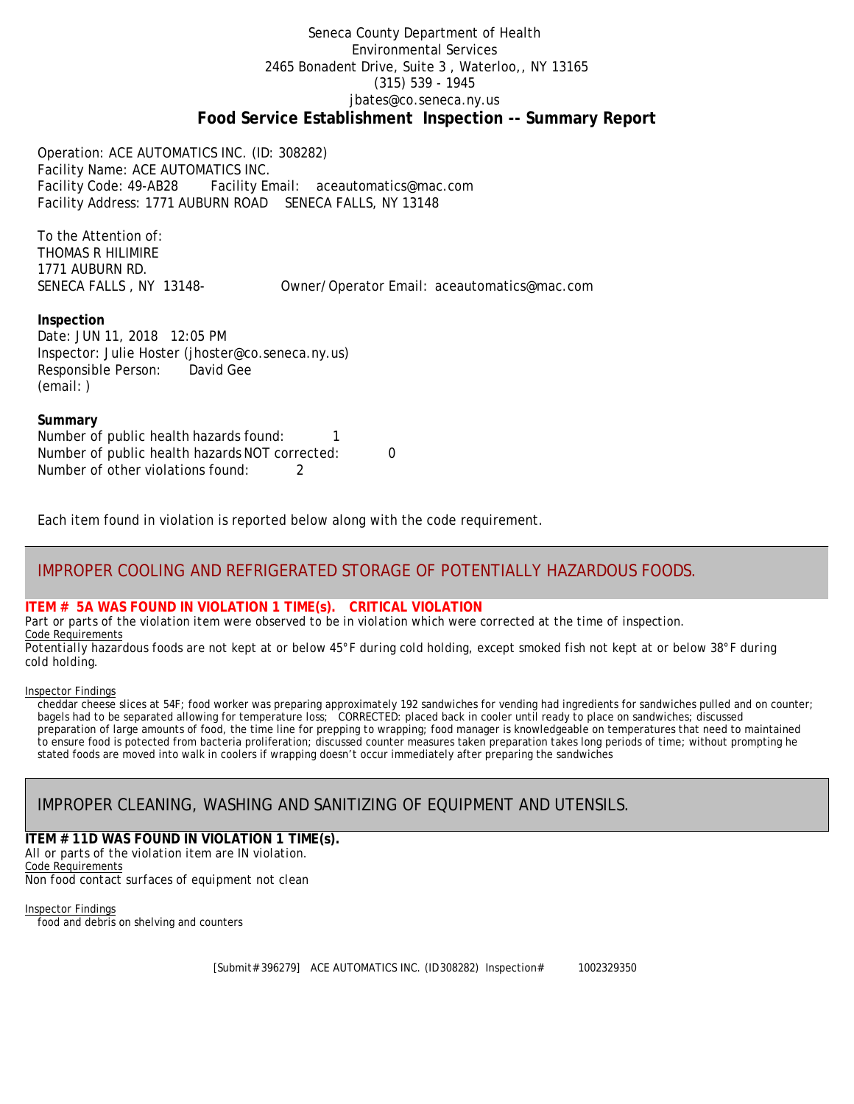### Seneca County Department of Health Environmental Services 2465 Bonadent Drive, Suite 3 , Waterloo,, NY 13165 (315) 539 - 1945 [jbates@co.seneca.ny.us](mailto:jbates@co.seneca.ny.us) **Food Service Establishment Inspection -- Summary Report**

Operation: ACE AUTOMATICS INC. (ID: 308282) Facility Name: ACE AUTOMATICS INC. Facility Code: 49-AB28 Facility Email: [aceautomatics@mac.com](mailto:aceautomatics@mac.com) Facility Address: 1771 AUBURN ROAD SENECA FALLS, NY 13148

To the Attention of: THOMAS R HILIMIRE 1771 AUBURN RD.

SENECA FALLS , NY 13148- Owner/Operator Email: [aceautomatics@mac.com](mailto:aceautomatics@mac.com)

### **Inspection**

Date: JUN 11, 2018 12:05 PM Inspector: Julie Hoster (jhoster@co.seneca.ny.us) Responsible Person: David Gee (email: )

#### **Summary**

Number of public health hazards found: 1 Number of public health hazards NOT corrected: 0 Number of other violations found: 2

Each item found in violation is reported below along with the code requirement.

## IMPROPER COOLING AND REFRIGERATED STORAGE OF POTENTIALLY HAZARDOUS FOODS.

### **ITEM # 5A WAS FOUND IN VIOLATION 1 TIME(s). CRITICAL VIOLATION**

*Part or parts of the violation item were observed to be in violation which were corrected at the time of inspection.* Code Requirements

*Potentially hazardous foods are not kept at or below 45°F during cold holding, except smoked fish not kept at or below 38°F during cold holding.*

#### Inspector Findings

cheddar cheese slices at 54F; food worker was preparing approximately 192 sandwiches for vending had ingredients for sandwiches pulled and on counter; bagels had to be separated allowing for temperature loss; CORRECTED: placed back in cooler until ready to place on sandwiches; discussed preparation of large amounts of food, the time line for prepping to wrapping; food manager is knowledgeable on temperatures that need to maintained to ensure food is potected from bacteria proliferation; discussed counter measures taken preparation takes long periods of time; without prompting he stated foods are moved into walk in coolers if wrapping doesn't occur immediately after preparing the sandwiches

# IMPROPER CLEANING, WASHING AND SANITIZING OF EQUIPMENT AND UTENSILS.

#### **ITEM # 11D WAS FOUND IN VIOLATION 1 TIME(s).** *All or parts of the violation item are IN violation.* Code Requirements

*Non food contact surfaces of equipment not clean*

Inspector Findings food and debris on shelving and counters

[Submit# 396279] ACE AUTOMATICS INC. (ID308282) Inspection# 1002329350